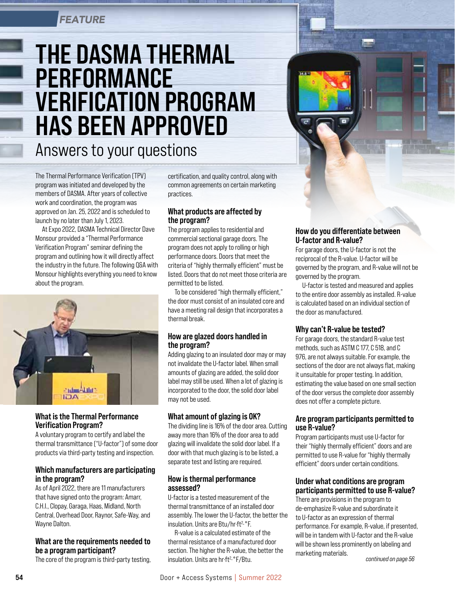## *FEATURE*

# THE DASMA THERMAL PERFORMANCE VERIFICATION PROGRAM HAS BEEN APPROVED

# Answers to your questions

The Thermal Performance Verification (TPV) program was initiated and developed by the members of DASMA. After years of collective work and coordination, the program was approved on Jan. 25, 2022 and is scheduled to launch by no later than July 1, 2023.

At Expo 2022, DASMA Technical Director Dave Monsour provided a "Thermal Performance Verification Program" seminar defining the program and outlining how it will directly affect the industry in the future. The following Q&A with Monsour highlights everything you need to know about the program.



### What is the Thermal Performance Verification Program?

A voluntary program to certify and label the thermal transmittance ("U-factor") of some door products via third-party testing and inspection.

### Which manufacturers are participating in the program?

As of April 2022, there are 11 manufacturers that have signed onto the program: Amarr, C.H.I., Clopay, Garaga, Haas, Midland, North Central, Overhead Door, Raynor, Safe-Way, and Wayne Dalton.

### What are the requirements needed to be a program participant?

The core of the program is third-party testing,

certification, and quality control, along with common agreements on certain marketing practices.

### What products are affected by the program?

The program applies to residential and commercial sectional garage doors. The program does not apply to rolling or high performance doors. Doors that meet the criteria of "highly thermally efficient" must be listed. Doors that do not meet those criteria are permitted to be listed.

To be considered "high thermally efficient," the door must consist of an insulated core and have a meeting rail design that incorporates a thermal break.

### How are glazed doors handled in the program?

Adding glazing to an insulated door may or may not invalidate the U-factor label. When small amounts of glazing are added, the solid door label may still be used. When a lot of glazing is incorporated to the door, the solid door label may not be used.

### What amount of glazing is OK?

The dividing line is 16% of the door area. Cutting away more than 16% of the door area to add glazing will invalidate the solid door label. If a door with that much glazing is to be listed, a separate test and listing are required.

### How is thermal performance assessed?

U-factor is a tested measurement of the thermal transmittance of an installed door assembly. The lower the U-factor, the better the insulation. Units are Btu/hr·ft2.°F.

R-value is a calculated estimate of the thermal resistance of a manufactured door section. The higher the R-value, the better the insulation. Units are hr·ft<sup>2</sup>.°F/Btu.

### How do you differentiate between U-factor and R-value?

For garage doors, the U-factor is not the reciprocal of the R-value. U-factor will be governed by the program, and R-value will not be governed by the program.

U-factor is tested and measured and applies to the entire door assembly as installed. R-value is calculated based on an individual section of the door as manufactured.

### Why can't R-value be tested?

For garage doors, the standard R-value test methods, such as ASTM C 177, C 518, and C 976, are not always suitable. For example, the sections of the door are not always flat, making it unsuitable for proper testing. In addition, estimating the value based on one small section of the door versus the complete door assembly does not offer a complete picture.

### Are program participants permitted to use R-value?

Program participants must use U-factor for their "highly thermally efficient" doors and are permitted to use R-value for "highly thermally efficient" doors under certain conditions.

### Under what conditions are program participants permitted to use R-value?

There are provisions in the program to de-emphasize R-value and subordinate it to U-factor as an expression of thermal performance. For example, R-value, if presented, will be in tandem with U-factor and the R-value will be shown less prominently on labeling and marketing materials. *continued on page 56*